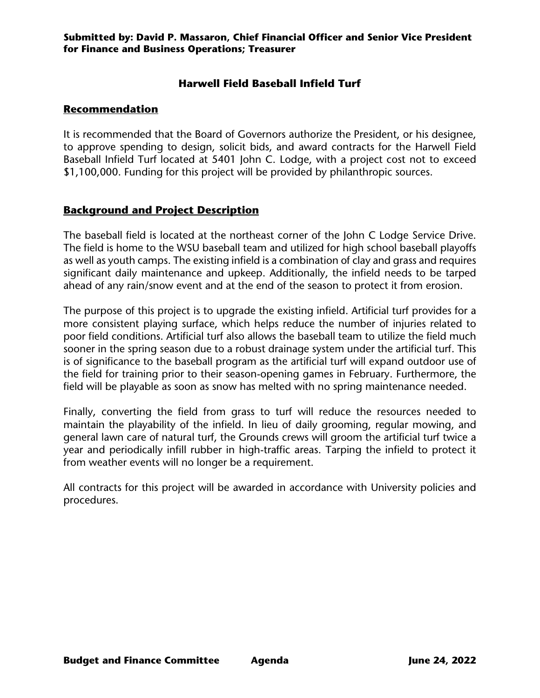### **Submitted by: David P. Massaron, Chief Financial Officer and Senior Vice President for Finance and Business Operations; Treasurer**

# **Harwell Field Baseball Infield Turf**

## **Recommendation**

It is recommended that the Board of Governors authorize the President, or his designee, to approve spending to design, solicit bids, and award contracts for the Harwell Field Baseball Infield Turf located at 5401 John C. Lodge, with a project cost not to exceed \$1,100,000. Funding for this project will be provided by philanthropic sources.

## **Background and Project Description**

The baseball field is located at the northeast corner of the John C Lodge Service Drive. The field is home to the WSU baseball team and utilized for high school baseball playoffs as well as youth camps. The existing infield is a combination of clay and grass and requires significant daily maintenance and upkeep. Additionally, the infield needs to be tarped ahead of any rain/snow event and at the end of the season to protect it from erosion.

The purpose of this project is to upgrade the existing infield. Artificial turf provides for a more consistent playing surface, which helps reduce the number of injuries related to poor field conditions. Artificial turf also allows the baseball team to utilize the field much sooner in the spring season due to a robust drainage system under the artificial turf. This is of significance to the baseball program as the artificial turf will expand outdoor use of the field for training prior to their season-opening games in February. Furthermore, the field will be playable as soon as snow has melted with no spring maintenance needed.

Finally, converting the field from grass to turf will reduce the resources needed to maintain the playability of the infield. In lieu of daily grooming, regular mowing, and general lawn care of natural turf, the Grounds crews will groom the artificial turf twice a year and periodically infill rubber in high-traffic areas. Tarping the infield to protect it from weather events will no longer be a requirement.

All contracts for this project will be awarded in accordance with University policies and procedures.